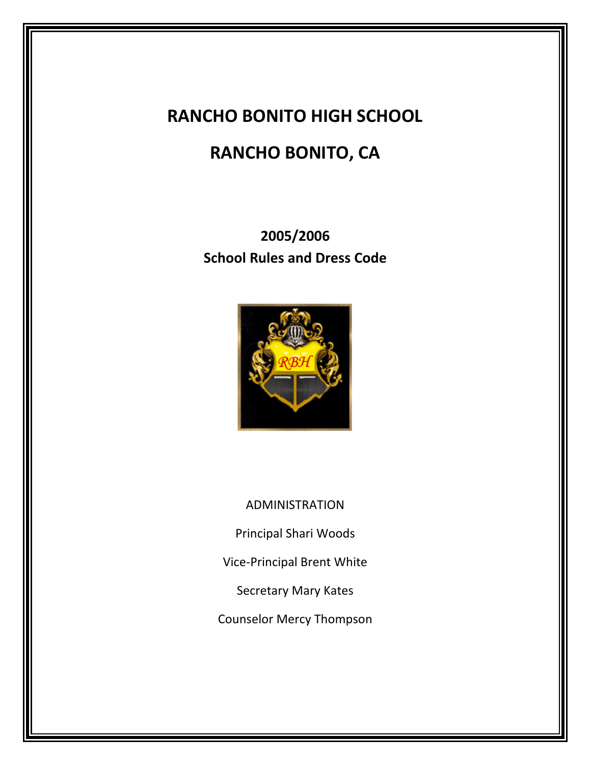## **RANCHO BONITO HIGH SCHOOL**

# **RANCHO BONITO, CA**

**2005/2006 School Rules and Dress Code**



ADMINISTRATION

Principal Shari Woods

Vice-Principal Brent White

Secretary Mary Kates

Counselor Mercy Thompson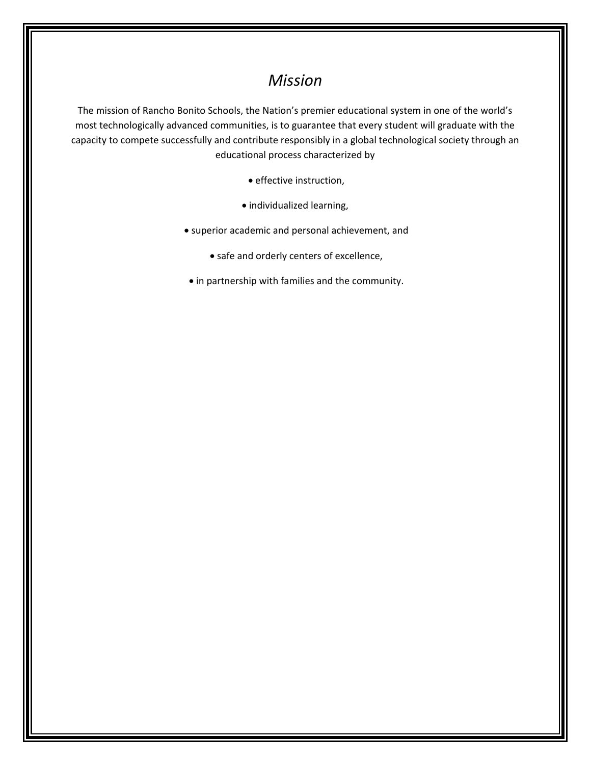### *Mission*

The mission of Rancho Bonito Schools, the Nation's premier educational system in one of the world's most technologically advanced communities, is to guarantee that every student will graduate with the capacity to compete successfully and contribute responsibly in a global technological society through an educational process characterized by

- effective instruction,
- individualized learning,
- superior academic and personal achievement, and
	- safe and orderly centers of excellence,
- in partnership with families and the community.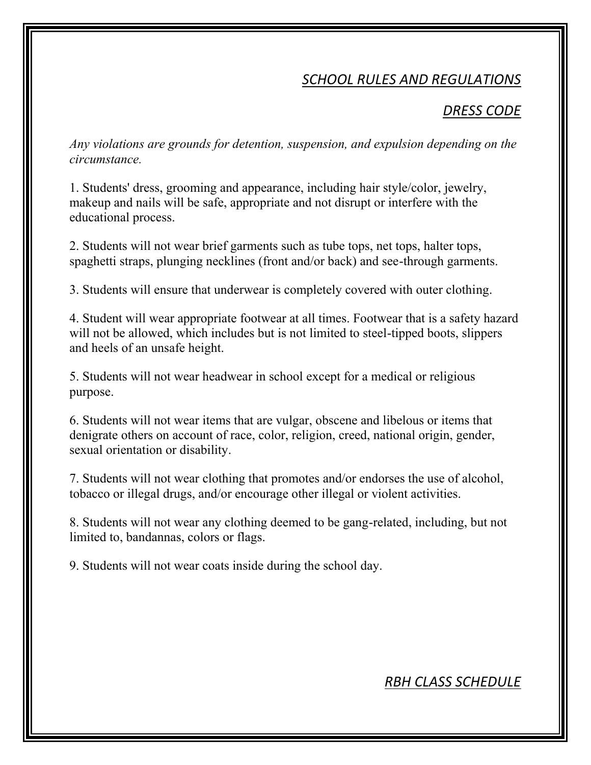### *SCHOOL RULES AND REGULATIONS*

#### *DRESS CODE*

*Any violations are grounds for detention, suspension, and expulsion depending on the circumstance.*

1. Students' dress, grooming and appearance, including hair style/color, jewelry, makeup and nails will be safe, appropriate and not disrupt or interfere with the educational process.

2. Students will not wear brief garments such as tube tops, net tops, halter tops, spaghetti straps, plunging necklines (front and/or back) and see-through garments.

3. Students will ensure that underwear is completely covered with outer clothing.

4. Student will wear appropriate footwear at all times. Footwear that is a safety hazard will not be allowed, which includes but is not limited to steel-tipped boots, slippers and heels of an unsafe height.

5. Students will not wear headwear in school except for a medical or religious purpose.

6. Students will not wear items that are vulgar, obscene and libelous or items that denigrate others on account of race, color, religion, creed, national origin, gender, sexual orientation or disability.

7. Students will not wear clothing that promotes and/or endorses the use of alcohol, tobacco or illegal drugs, and/or encourage other illegal or violent activities.

8. Students will not wear any clothing deemed to be gang-related, including, but not limited to, bandannas, colors or flags.

9. Students will not wear coats inside during the school day.

#### *RBH CLASS SCHEDULE*